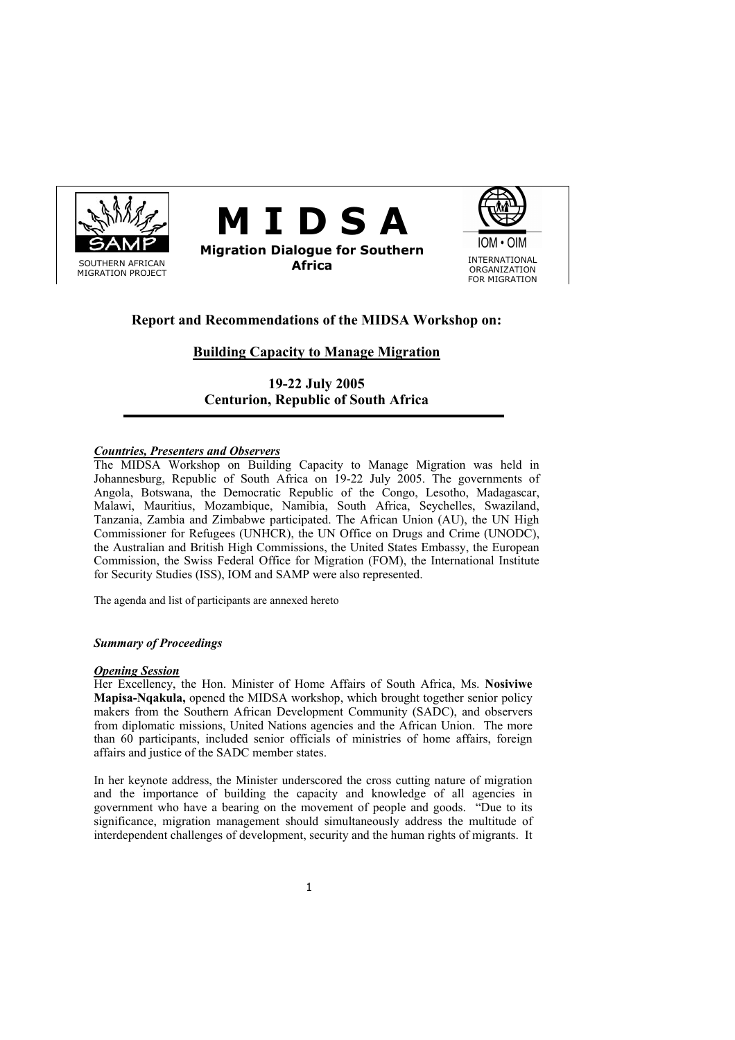





# **Report and Recommendations of the MIDSA Workshop on:**

# **Building Capacity to Manage Migration**

**19-22 July 2005 Centurion, Republic of South Africa** 

# *Countries, Presenters and Observers*

The MIDSA Workshop on Building Capacity to Manage Migration was held in Johannesburg, Republic of South Africa on 19-22 July 2005. The governments of Angola, Botswana, the Democratic Republic of the Congo, Lesotho, Madagascar, Malawi, Mauritius, Mozambique, Namibia, South Africa, Seychelles, Swaziland, Tanzania, Zambia and Zimbabwe participated. The African Union (AU), the UN High Commissioner for Refugees (UNHCR), the UN Office on Drugs and Crime (UNODC), the Australian and British High Commissions, the United States Embassy, the European Commission, the Swiss Federal Office for Migration (FOM), the International Institute for Security Studies (ISS), IOM and SAMP were also represented.

The agenda and list of participants are annexed hereto

## *Summary of Proceedings*

# *Opening Session*

Her Excellency, the Hon. Minister of Home Affairs of South Africa, Ms. **Nosiviwe Mapisa-Nqakula,** opened the MIDSA workshop, which brought together senior policy makers from the Southern African Development Community (SADC), and observers from diplomatic missions, United Nations agencies and the African Union. The more than 60 participants, included senior officials of ministries of home affairs, foreign affairs and justice of the SADC member states.

In her keynote address, the Minister underscored the cross cutting nature of migration and the importance of building the capacity and knowledge of all agencies in government who have a bearing on the movement of people and goods. "Due to its significance, migration management should simultaneously address the multitude of interdependent challenges of development, security and the human rights of migrants. It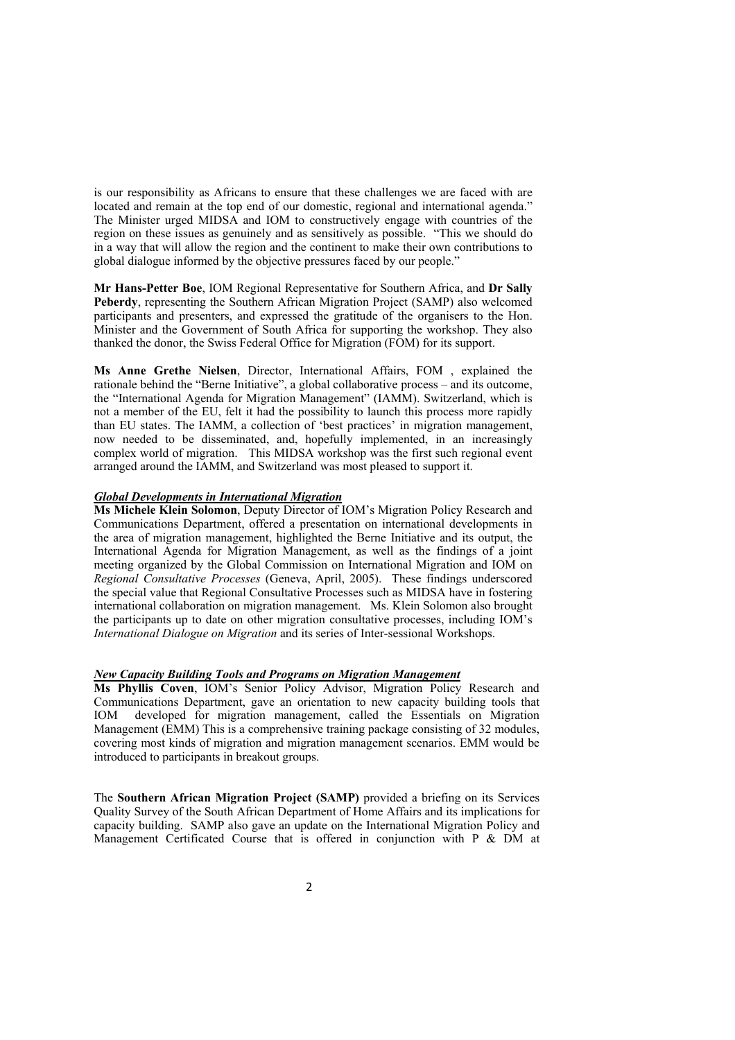is our responsibility as Africans to ensure that these challenges we are faced with are located and remain at the top end of our domestic, regional and international agenda." The Minister urged MIDSA and IOM to constructively engage with countries of the region on these issues as genuinely and as sensitively as possible. "This we should do in a way that will allow the region and the continent to make their own contributions to global dialogue informed by the objective pressures faced by our people."

**Mr Hans-Petter Boe**, IOM Regional Representative for Southern Africa, and **Dr Sally Peberdy**, representing the Southern African Migration Project (SAMP) also welcomed participants and presenters, and expressed the gratitude of the organisers to the Hon. Minister and the Government of South Africa for supporting the workshop. They also thanked the donor, the Swiss Federal Office for Migration (FOM) for its support.

**Ms Anne Grethe Nielsen**, Director, International Affairs, FOM , explained the rationale behind the "Berne Initiative", a global collaborative process – and its outcome, the "International Agenda for Migration Management" (IAMM). Switzerland, which is not a member of the EU, felt it had the possibility to launch this process more rapidly than EU states. The IAMM, a collection of 'best practices' in migration management, now needed to be disseminated, and, hopefully implemented, in an increasingly complex world of migration. This MIDSA workshop was the first such regional event arranged around the IAMM, and Switzerland was most pleased to support it.

#### *Global Developments in International Migration*

**Ms Michele Klein Solomon**, Deputy Director of IOM's Migration Policy Research and Communications Department, offered a presentation on international developments in the area of migration management, highlighted the Berne Initiative and its output, the International Agenda for Migration Management, as well as the findings of a joint meeting organized by the Global Commission on International Migration and IOM on *Regional Consultative Processes* (Geneva, April, 2005). These findings underscored the special value that Regional Consultative Processes such as MIDSA have in fostering international collaboration on migration management. Ms. Klein Solomon also brought the participants up to date on other migration consultative processes, including IOM's *International Dialogue on Migration* and its series of Inter-sessional Workshops.

## *New Capacity Building Tools and Programs on Migration Management*

**Ms Phyllis Coven**, IOM's Senior Policy Advisor, Migration Policy Research and Communications Department, gave an orientation to new capacity building tools that IOM developed for migration management, called the Essentials on Migration Management (EMM) This is a comprehensive training package consisting of 32 modules, covering most kinds of migration and migration management scenarios. EMM would be introduced to participants in breakout groups.

The **Southern African Migration Project (SAMP)** provided a briefing on its Services Quality Survey of the South African Department of Home Affairs and its implications for capacity building. SAMP also gave an update on the International Migration Policy and Management Certificated Course that is offered in conjunction with P & DM at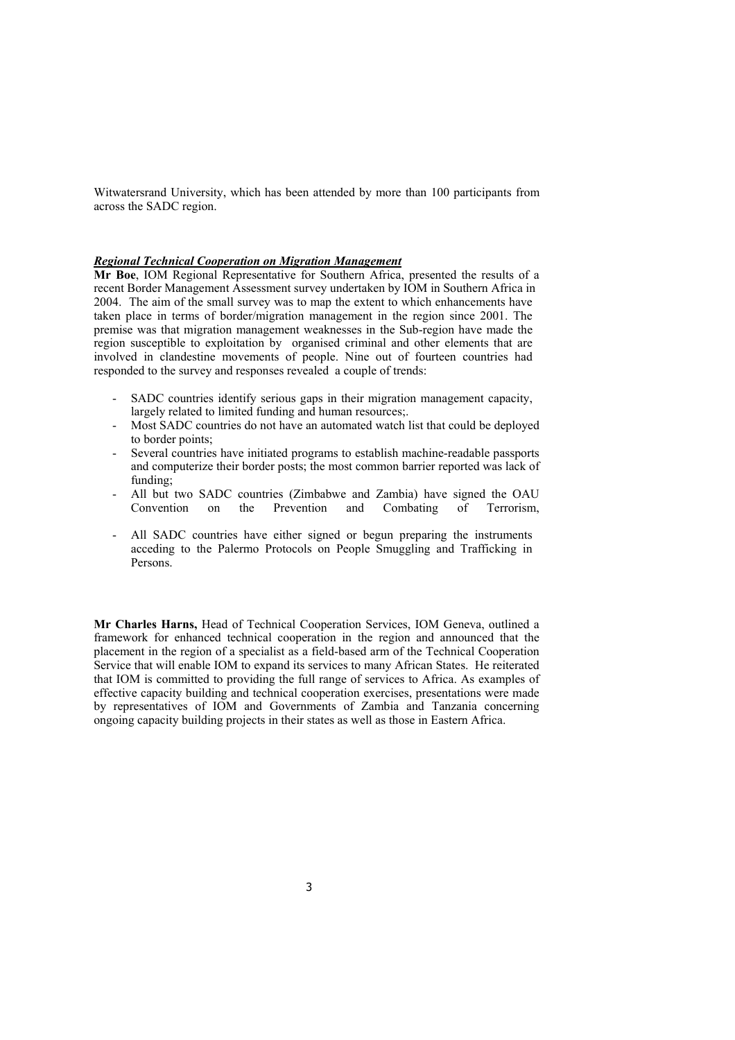Witwatersrand University, which has been attended by more than 100 participants from across the SADC region.

#### *Regional Technical Cooperation on Migration Management*

**Mr Boe**, IOM Regional Representative for Southern Africa, presented the results of a recent Border Management Assessment survey undertaken by IOM in Southern Africa in 2004. The aim of the small survey was to map the extent to which enhancements have taken place in terms of border/migration management in the region since 2001. The premise was that migration management weaknesses in the Sub-region have made the region susceptible to exploitation by organised criminal and other elements that are involved in clandestine movements of people. Nine out of fourteen countries had responded to the survey and responses revealed a couple of trends:

- SADC countries identify serious gaps in their migration management capacity, largely related to limited funding and human resources;.
- Most SADC countries do not have an automated watch list that could be deployed to border points;
- Several countries have initiated programs to establish machine-readable passports and computerize their border posts; the most common barrier reported was lack of funding;
- All but two SADC countries (Zimbabwe and Zambia) have signed the OAU Convention on the Prevention and Combating of Terrorism,
- All SADC countries have either signed or begun preparing the instruments acceding to the Palermo Protocols on People Smuggling and Trafficking in Persons.

**Mr Charles Harns,** Head of Technical Cooperation Services, IOM Geneva, outlined a framework for enhanced technical cooperation in the region and announced that the placement in the region of a specialist as a field-based arm of the Technical Cooperation Service that will enable IOM to expand its services to many African States. He reiterated that IOM is committed to providing the full range of services to Africa. As examples of effective capacity building and technical cooperation exercises, presentations were made by representatives of IOM and Governments of Zambia and Tanzania concerning ongoing capacity building projects in their states as well as those in Eastern Africa.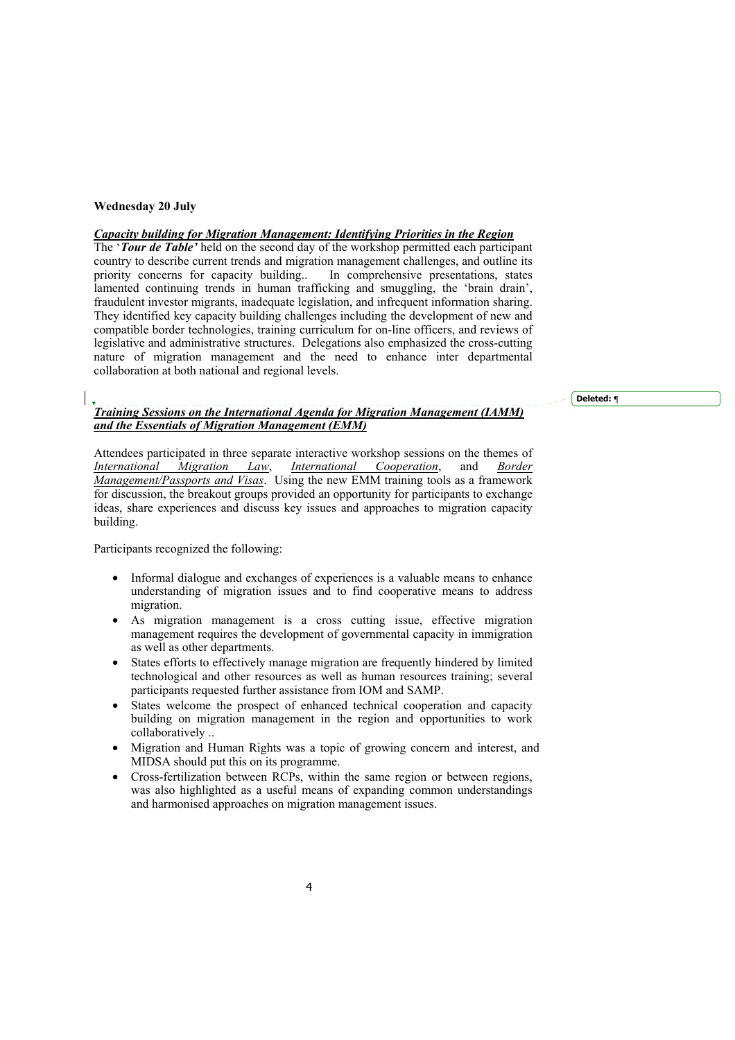# **Wednesday 20 July**

# *Capacity building for Migration Management: Identifying Priorities in the Region*

The '*Tour de Table'* held on the second day of the workshop permitted each participant country to describe current trends and migration management challenges, and outline its priority concerns for capacity building.. In comprehensive presentations, states lamented continuing trends in human trafficking and smuggling, the 'brain drain', fraudulent investor migrants, inadequate legislation, and infrequent information sharing. They identified key capacity building challenges including the development of new and compatible border technologies, training curriculum for on-line officers, and reviews of legislative and administrative structures. Delegations also emphasized the cross-cutting nature of migration management and the need to enhance inter departmental collaboration at both national and regional levels.

**Deleted: ¶**

# *Training Sessions on the International Agenda for Migration Management (IAMM) and the Essentials of Migration Management (EMM)*

Attendees participated in three separate interactive workshop sessions on the themes of *International Migration Law*, *International Cooperation*, and *Border International Migration Law*, *International Cooperation*, and *Border Management/Passports and Visas*. Using the new EMM training tools as a framework for discussion, the breakout groups provided an opportunity for participants to exchange ideas, share experiences and discuss key issues and approaches to migration capacity building.

Participants recognized the following:

- Informal dialogue and exchanges of experiences is a valuable means to enhance understanding of migration issues and to find cooperative means to address migration.
- As migration management is a cross cutting issue, effective migration management requires the development of governmental capacity in immigration as well as other departments.
- States efforts to effectively manage migration are frequently hindered by limited technological and other resources as well as human resources training; several participants requested further assistance from IOM and SAMP.
- States welcome the prospect of enhanced technical cooperation and capacity building on migration management in the region and opportunities to work collaboratively ..
- Migration and Human Rights was a topic of growing concern and interest, and MIDSA should put this on its programme.
- Cross-fertilization between RCPs, within the same region or between regions, was also highlighted as a useful means of expanding common understandings and harmonised approaches on migration management issues.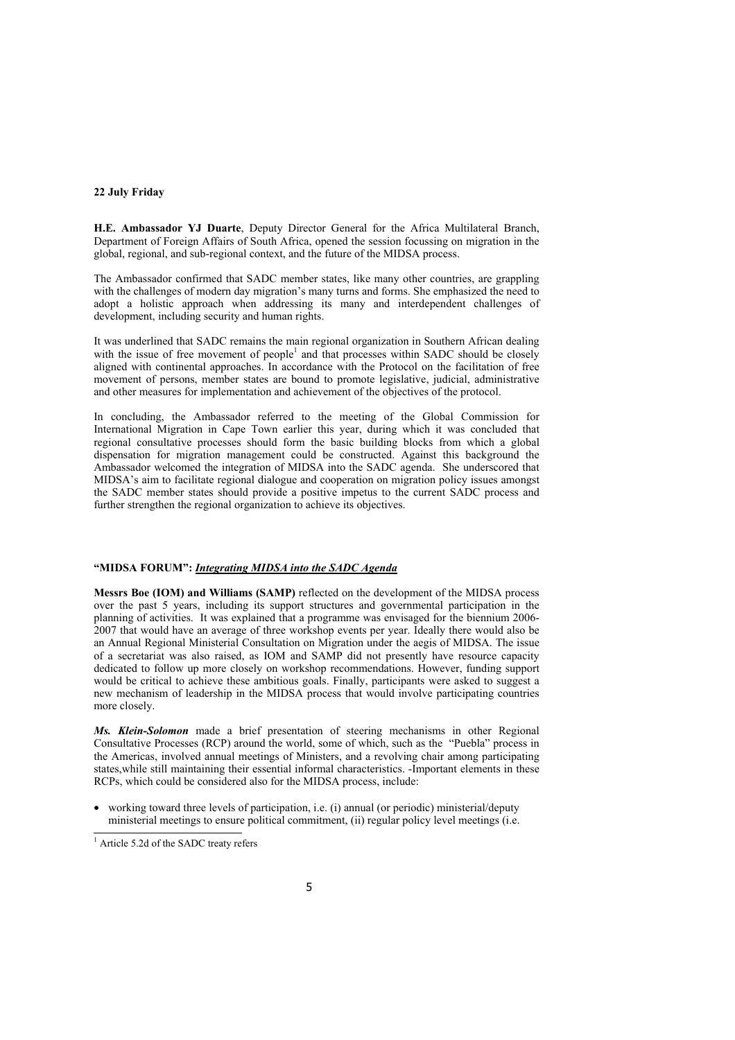## **22 July Friday**

**H.E. Ambassador YJ Duarte**, Deputy Director General for the Africa Multilateral Branch, Department of Foreign Affairs of South Africa, opened the session focussing on migration in the global, regional, and sub-regional context, and the future of the MIDSA process.

The Ambassador confirmed that SADC member states, like many other countries, are grappling with the challenges of modern day migration's many turns and forms. She emphasized the need to adopt a holistic approach when addressing its many and interdependent challenges of development, including security and human rights.

It was underlined that SADC remains the main regional organization in Southern African dealing with the issue of free movement of people<sup>1</sup> and that processes within SADC should be closely aligned with continental approaches. In accordance with the Protocol on the facilitation of free movement of persons, member states are bound to promote legislative, judicial, administrative and other measures for implementation and achievement of the objectives of the protocol.

In concluding, the Ambassador referred to the meeting of the Global Commission for International Migration in Cape Town earlier this year, during which it was concluded that regional consultative processes should form the basic building blocks from which a global dispensation for migration management could be constructed. Against this background the Ambassador welcomed the integration of MIDSA into the SADC agenda. She underscored that MIDSA's aim to facilitate regional dialogue and cooperation on migration policy issues amongst the SADC member states should provide a positive impetus to the current SADC process and further strengthen the regional organization to achieve its objectives.

## **"MIDSA FORUM":** *Integrating MIDSA into the SADC Agenda*

**Messrs Boe (IOM) and Williams (SAMP)** reflected on the development of the MIDSA process over the past 5 years, including its support structures and governmental participation in the planning of activities. It was explained that a programme was envisaged for the biennium 2006- 2007 that would have an average of three workshop events per year. Ideally there would also be an Annual Regional Ministerial Consultation on Migration under the aegis of MIDSA. The issue of a secretariat was also raised, as IOM and SAMP did not presently have resource capacity dedicated to follow up more closely on workshop recommendations. However, funding support would be critical to achieve these ambitious goals. Finally, participants were asked to suggest a new mechanism of leadership in the MIDSA process that would involve participating countries more closely.

*Ms. Klein-Solomon* made a brief presentation of steering mechanisms in other Regional Consultative Processes (RCP) around the world, some of which, such as the "Puebla" process in the Americas, involved annual meetings of Ministers, and a revolving chair among participating states,while still maintaining their essential informal characteristics. -Important elements in these RCPs, which could be considered also for the MIDSA process, include:

• working toward three levels of participation, i.e. (i) annual (or periodic) ministerial/deputy ministerial meetings to ensure political commitment, (ii) regular policy level meetings (i.e.

<sup>&</sup>lt;sup>1</sup> Article 5.2d of the SADC treaty refers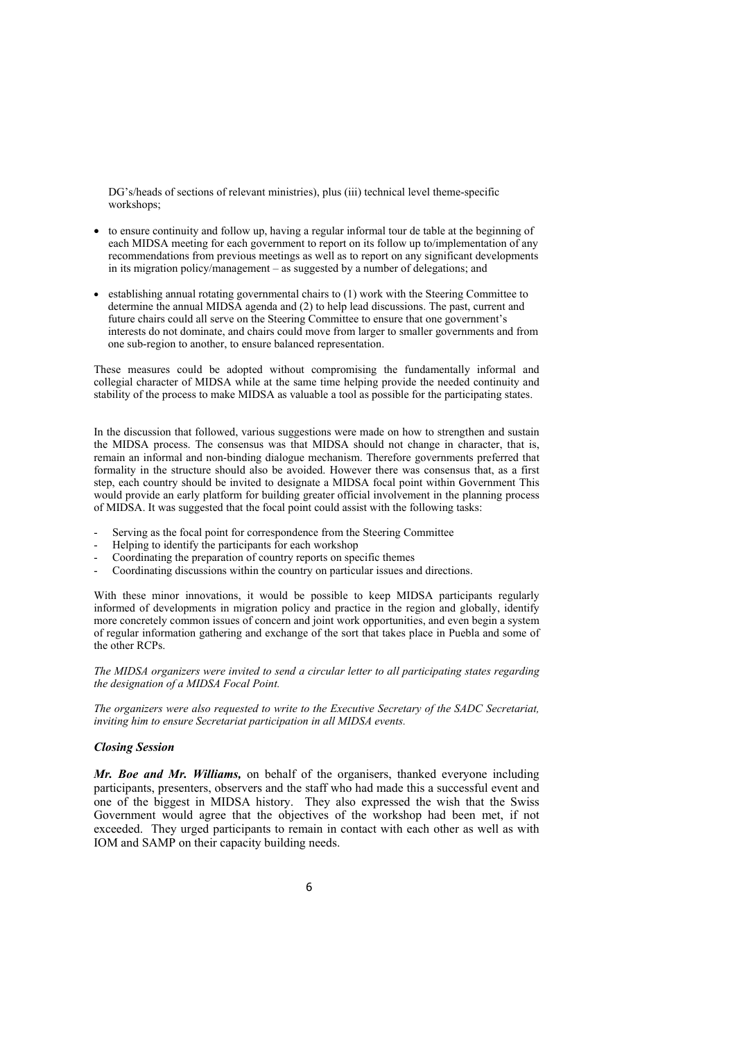DG's/heads of sections of relevant ministries), plus (iii) technical level theme-specific workshops;

- to ensure continuity and follow up, having a regular informal tour de table at the beginning of each MIDSA meeting for each government to report on its follow up to/implementation of any recommendations from previous meetings as well as to report on any significant developments in its migration policy/management – as suggested by a number of delegations; and
- establishing annual rotating governmental chairs to (1) work with the Steering Committee to determine the annual MIDSA agenda and (2) to help lead discussions. The past, current and future chairs could all serve on the Steering Committee to ensure that one government's interests do not dominate, and chairs could move from larger to smaller governments and from one sub-region to another, to ensure balanced representation.

These measures could be adopted without compromising the fundamentally informal and collegial character of MIDSA while at the same time helping provide the needed continuity and stability of the process to make MIDSA as valuable a tool as possible for the participating states.

In the discussion that followed, various suggestions were made on how to strengthen and sustain the MIDSA process. The consensus was that MIDSA should not change in character, that is, remain an informal and non-binding dialogue mechanism. Therefore governments preferred that formality in the structure should also be avoided. However there was consensus that, as a first step, each country should be invited to designate a MIDSA focal point within Government This would provide an early platform for building greater official involvement in the planning process of MIDSA. It was suggested that the focal point could assist with the following tasks:

- Serving as the focal point for correspondence from the Steering Committee
- Helping to identify the participants for each workshop
- Coordinating the preparation of country reports on specific themes
- Coordinating discussions within the country on particular issues and directions.

With these minor innovations, it would be possible to keep MIDSA participants regularly informed of developments in migration policy and practice in the region and globally, identify more concretely common issues of concern and joint work opportunities, and even begin a system of regular information gathering and exchange of the sort that takes place in Puebla and some of the other RCPs.

*The MIDSA organizers were invited to send a circular letter to all participating states regarding the designation of a MIDSA Focal Point.* 

*The organizers were also requested to write to the Executive Secretary of the SADC Secretariat, inviting him to ensure Secretariat participation in all MIDSA events.* 

#### *Closing Session*

*Mr. Boe and Mr. Williams,* on behalf of the organisers, thanked everyone including participants, presenters, observers and the staff who had made this a successful event and one of the biggest in MIDSA history. They also expressed the wish that the Swiss Government would agree that the objectives of the workshop had been met, if not exceeded. They urged participants to remain in contact with each other as well as with IOM and SAMP on their capacity building needs.